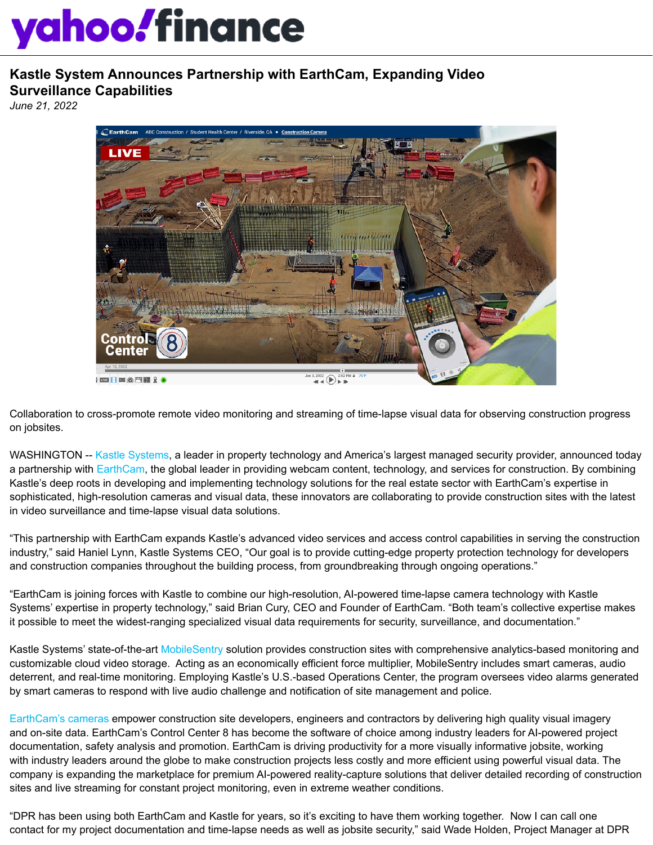## yahoo! finance

## **Kastle System Announces Partnership with EarthCam, Expanding Video Surveillance Capabilities**

*June 21, 2022*



Collaboration to cross-promote remote video monitoring and streaming of time-lapse visual data for observing construction progress on jobsites.

WASHINGTON -- [Kastle Systems](https://www.kastle.com/), a leader in property technology and America's largest managed security provider, announced today a partnership with [EarthCam,](https://www.earthcam.com/) the global leader in providing webcam content, technology, and services for construction. By combining Kastle's deep roots in developing and implementing technology solutions for the real estate sector with EarthCam's expertise in sophisticated, high-resolution cameras and visual data, these innovators are collaborating to provide construction sites with the latest in video surveillance and time-lapse visual data solutions.

"This partnership with EarthCam expands Kastle's advanced video services and access control capabilities in serving the construction industry," said Haniel Lynn, Kastle Systems CEO, "Our goal is to provide cutting-edge property protection technology for developers and construction companies throughout the building process, from groundbreaking through ongoing operations."

"EarthCam is joining forces with Kastle to combine our high-resolution, AI-powered time-lapse camera technology with Kastle Systems' expertise in property technology," said Brian Cury, CEO and Founder of EarthCam. "Both team's collective expertise makes it possible to meet the widest-ranging specialized visual data requirements for security, surveillance, and documentation."

Kastle Systems' state-of-the-art [MobileSentry](https://www.kastle.com/wp-content/uploads/2018/04/Construction_MobileSentry_OneSheet_2018_8.5x11in_Final.pdf) solution provides construction sites with comprehensive analytics-based monitoring and customizable cloud video storage. Acting as an economically efficient force multiplier, MobileSentry includes smart cameras, audio deterrent, and real-time monitoring. Employing Kastle's U.S.-based Operations Center, the program oversees video alarms generated by smart cameras to respond with live audio challenge and notification of site management and police.

[EarthCam's cameras e](https://www.earthcam.net/products/)mpower construction site developers, engineers and contractors by delivering high quality visual imagery and on-site data. EarthCam's Control Center 8 has become the software of choice among industry leaders for AI-powered project documentation, safety analysis and promotion. EarthCam is driving productivity for a more visually informative jobsite, working with industry leaders around the globe to make construction projects less costly and more efficient using powerful visual data. The company is expanding the marketplace for premium AI-powered reality-capture solutions that deliver detailed recording of construction sites and live streaming for constant project monitoring, even in extreme weather conditions.

"DPR has been using both EarthCam and Kastle for years, so it's exciting to have them working together. Now I can call one contact for my project documentation and time-lapse needs as well as jobsite security," said Wade Holden, Project Manager at DPR